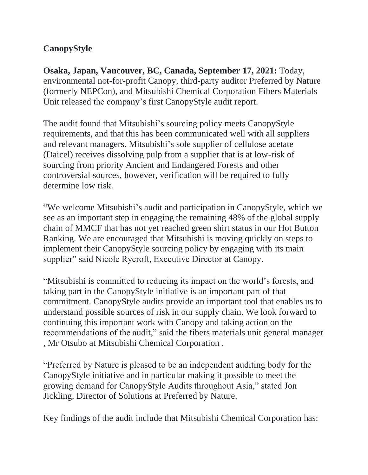## **CanopyStyle**

**Osaka, Japan, Vancouver, BC, Canada, September 17, 2021:** Today, environmental not-for-profit Canopy, third-party auditor Preferred by Nature (formerly NEPCon), and Mitsubishi Chemical Corporation Fibers Materials Unit released the company's first CanopyStyle audit report.

The audit found that Mitsubishi's sourcing policy meets CanopyStyle requirements, and that this has been communicated well with all suppliers and relevant managers. Mitsubishi's sole supplier of cellulose acetate (Daicel) receives dissolving pulp from a supplier that is at low-risk of sourcing from priority Ancient and Endangered Forests and other controversial sources, however, verification will be required to fully determine low risk.

"We welcome Mitsubishi's audit and participation in CanopyStyle, which we see as an important step in engaging the remaining 48% of the global supply chain of MMCF that has not yet reached green shirt status in our Hot Button Ranking. We are encouraged that Mitsubishi is moving quickly on steps to implement their CanopyStyle sourcing policy by engaging with its main supplier" said Nicole Rycroft, Executive Director at Canopy.

"Mitsubishi is committed to reducing its impact on the world's forests, and taking part in the CanopyStyle initiative is an important part of that commitment. CanopyStyle audits provide an important tool that enables us to understand possible sources of risk in our supply chain. We look forward to continuing this important work with Canopy and taking action on the recommendations of the audit," said the fibers materials unit general manager , Mr Otsubo at Mitsubishi Chemical Corporation .

"Preferred by Nature is pleased to be an independent auditing body for the CanopyStyle initiative and in particular making it possible to meet the growing demand for CanopyStyle Audits throughout Asia," stated Jon Jickling, Director of Solutions at Preferred by Nature.

Key findings of the audit include that Mitsubishi Chemical Corporation has: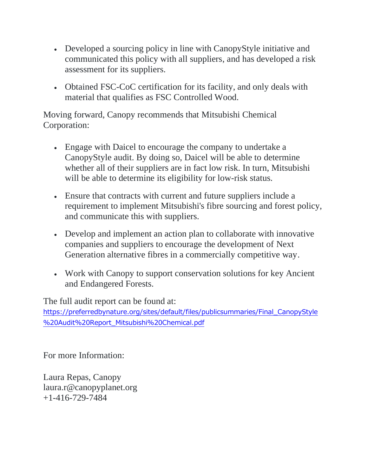- Developed a sourcing policy in line with CanopyStyle initiative and communicated this policy with all suppliers, and has developed a risk assessment for its suppliers.
- Obtained FSC-CoC certification for its facility, and only deals with material that qualifies as FSC Controlled Wood.

Moving forward, Canopy recommends that Mitsubishi Chemical Corporation:

- Engage with Daicel to encourage the company to undertake a CanopyStyle audit. By doing so, Daicel will be able to determine whether all of their suppliers are in fact low risk. In turn, Mitsubishi will be able to determine its eligibility for low-risk status.
- Ensure that contracts with current and future suppliers include a requirement to implement Mitsubishi's fibre sourcing and forest policy, and communicate this with suppliers.
- Develop and implement an action plan to collaborate with innovative companies and suppliers to encourage the development of Next Generation alternative fibres in a commercially competitive way.
- Work with Canopy to support conservation solutions for key Ancient and Endangered Forests.

The full audit report can be found at:

[https://preferredbynature.org/sites/default/files/publicsummaries/Final\\_CanopyStyle](https://preferredbynature.org/sites/default/files/publicsummaries/Final_CanopyStyle%20Audit%20Report_Mitsubishi%20Chemical.pdf) [%20Audit%20Report\\_Mitsubishi%20Chemical.pdf](https://preferredbynature.org/sites/default/files/publicsummaries/Final_CanopyStyle%20Audit%20Report_Mitsubishi%20Chemical.pdf)

For more Information:

Laura Repas, Canopy laura.r@canopyplanet.org +1-416-729-7484